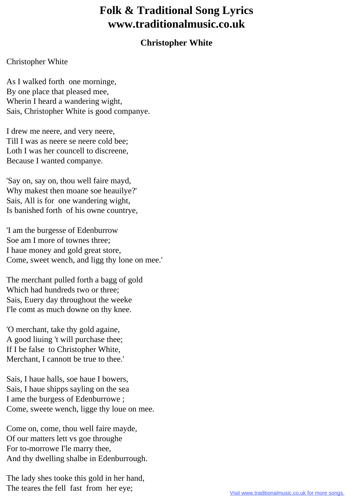## **Folk & Traditional Song Lyrics www.traditionalmusic.co.uk**

## **Christopher White**

## Christopher White

As I walked forth one morninge, By one place that pleased mee, Wherin I heard a wandering wight, Sais, Christopher White is good companye.

I drew me neere, and very neere, Till I was as neere se neere cold bee; Loth I was her councell to discreene, Because I wanted companye.

'Say on, say on, thou well faire mayd, Why makest then moane soe heauilye?' Sais, All is for one wandering wight, Is banished forth of his owne countrye,

'I am the burgesse of Edenburrow Soe am I more of townes three; I haue money and gold great store, Come, sweet wench, and ligg thy lone on mee.'

The merchant pulled forth a bagg of gold Which had hundreds two or three; Sais, Euery day throughout the weeke I'le comt as much downe on thy knee.

'O merchant, take thy gold againe, A good liuing 't will purchase thee; If I be false to Christopher White, Merchant, I cannott be true to thee.'

Sais, I haue halls, soe haue I bowers, Sais, I haue shipps sayling on the sea I ame the burgess of Edenburrowe ; Come, sweete wench, ligge thy loue on mee.

Come on, come, thou well faire mayde, Of our matters lett vs goe throughe For to-morrowe I'le marry thee, And thy dwelling shalbe in Edenburrough.

The lady shes tooke this gold in her hand, The teares the fell fast from her eye;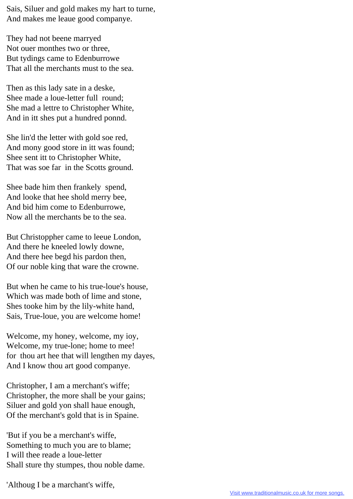Sais, Siluer and gold makes my hart to turne, And makes me leaue good companye.

They had not beene marryed Not ouer monthes two or three, But tydings came to Edenburrowe That all the merchants must to the sea.

Then as this lady sate in a deske, Shee made a loue-letter full round; She mad a lettre to Christopher White, And in itt shes put a hundred ponnd.

She lin'd the letter with gold soe red, And mony good store in itt was found; Shee sent itt to Christopher White, That was soe far in the Scotts ground.

Shee bade him then frankely spend, And looke that hee shold merry bee, And bid him come to Edenburrowe, Now all the merchants be to the sea.

But Christoppher came to leeue London, And there he kneeled lowly downe, And there hee begd his pardon then, Of our noble king that ware the crowne.

But when he came to his true-loue's house, Which was made both of lime and stone, Shes tooke him by the lily-white hand, Sais, True-loue, you are welcome home!

Welcome, my honey, welcome, my ioy, Welcome, my true-lone; home to mee! for thou art hee that will lengthen my dayes, And I know thou art good companye.

Christopher, I am a merchant's wiffe; Christopher, the more shall be your gains; Siluer and gold yon shall haue enough, Of the merchant's gold that is in Spaine.

'But if you be a merchant's wiffe, Something to much you are to blame; I will thee reade a loue-letter Shall sture thy stumpes, thou noble dame.

'Althoug I be a marchant's wiffe,